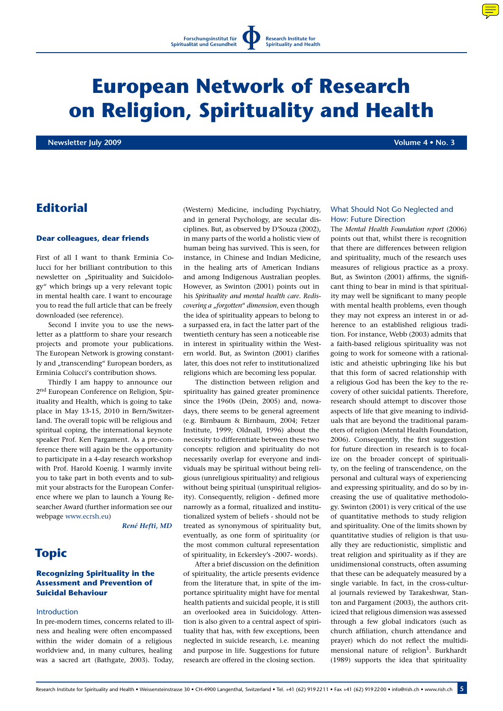

# **European Network of Research on Religion, Spirituality and Health**

 **Newsletter July 2009 Volume 4 • No. 3**

# **Editorial**

## **Dear colleagues, dear friends**

First of all I want to thank Erminia Colucci for her brilliant contribution to this newsletter on "Spirituality and Suicidology" which brings up a very relevant topic in mental health care. I want to encourage you to read the full article that can be freely downloaded (see reference).

Second I invite you to use the newsletter as a plattform to share your research projects and promote your publications. The European Network is growing constantly and "transcending" European borders, as Erminia Colucci's contribution shows.

Thirdly I am happy to announce our 2nd European Conference on Religion, Spirituality and Health, which is going to take place in May 13-15, 2010 in Bern/Switzerland. The overall topic will be religious and spiritual coping, the international keynote speaker Prof. Ken Pargament. As a pre-conference there will again be the opportunity to participate in a 4-day research workshop with Prof. Harold Koenig. I warmly invite you to take part in both events and to submit your abstracts for the European Conference where we plan to launch a Young Researcher Award (further information see our webpage www.ecrsh.eu)

*René Hefti, MD*

# **Topic**

## **Recognizing Spirituality in the Assessment and Prevention of Suicidal Behaviour**

#### **Introduction**

In pre-modern times, concerns related to illness and healing were often encompassed within the wider domain of a religious worldview and, in many cultures, healing was a sacred art (Bathgate, 2003). Today, (Western) Medicine, including Psychiatry, and in general Psychology, are secular disciplines. But, as observed by D'Souza (2002), in many parts of the world a holistic view of human being has survived. This is seen, for instance, in Chinese and Indian Medicine, in the healing arts of American Indians and among Indigenous Australian peoples. However, as Swinton (2001) points out in his *Spirituality and mental health care. Rediscovering a* "*forgotten*" *dimension*, even though the idea of spirituality appears to belong to a surpassed era, in fact the latter part of the twentieth century has seen a noticeable rise in interest in spirituality within the Western world. But, as Swinton (2001) clarifies later, this does not refer to institutionalized religions which are becoming less popular.

The distinction between religion and spirituality has gained greater prominence since the 1960s (Dein, 2005) and, nowadays, there seems to be general agreement (e.g. Birnbaum & Birnbaum, 2004; Fetzer Institute, 1999; Oldnall, 1996) about the necessity to differentiate between these two concepts: religion and spirituality do not necessarily overlap for everyone and individuals may be spiritual without being religious (unreligious spirituality) and religious without being spiritual (unspiritual religiosity). Consequently, religion - defined more narrowly as a formal, ritualized and institutionalized system of beliefs - should not be treated as synonymous of spirituality but, eventually, as one form of spirituality (or the most common cultural representation of spirituality, in Eckersley's -2007- words).

After a brief discussion on the definition of spirituality, the article presents evidence from the literature that, in spite of the importance spirituality might have for mental health patients and suicidal people, it is still an overlooked area in Suicidology. Attention is also given to a central aspect of spirituality that has, with few exceptions, been neglected in suicide research, i.e. meaning and purpose in life. Suggestions for future research are offered in the closing section.

# What Should Not Go Neglected and How: Future Direction

The *Mental Health Foundation report* (2006) points out that, whilst there is recognition that there are differences between religion and spirituality, much of the research uses measures of religious practice as a proxy. But, as Swinton (2001) affirms, the significant thing to bear in mind is that spirituality may well be significant to many people with mental health problems, even though they may not express an interest in or adherence to an established religious tradition. For instance, Webb (2003) admits that a faith-based religious spirituality was not going to work for someone with a rationalistic and atheistic upbringing like his but that this form of sacred relationship with a religious God has been the key to the recovery of other suicidal patients. Therefore, research should attempt to discover those aspects of life that give meaning to individuals that are beyond the traditional parameters of religion (Mental Health Foundation, 2006). Consequently, the first suggestion for future direction in research is to focalize on the broader concept of spirituality, on the feeling of transcendence, on the personal and cultural ways of experiencing and expressing spirituality, and do so by increasing the use of qualitative methodology. Swinton (2001) is very critical of the use of quantitative methods to study religion and spirituality. One of the limits shown by quantitative studies of religion is that usually they are reductionistic, simplistic and treat religion and spirituality as if they are unidimensional constructs, often assuming that these can be adequately measured by a single variable. In fact, in the cross-cultural journals reviewed by Tarakeshwar, Stanton and Pargament (2003), the authors criticized that religious dimension was assessed through a few global indicators (such as church affiliation, church attendance and prayer) which do not reflect the multidimensional nature of religion<sup>1</sup>. Burkhardt (1989) supports the idea that spirituality